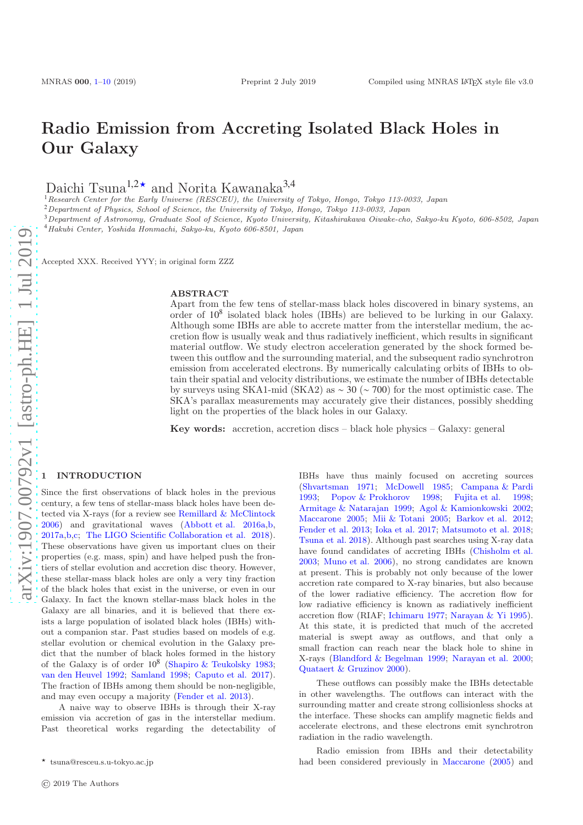# Radio Emission from Accreting Isolated Black Holes in Our Galaxy

Daichi Tsuna<sup>1,2★</sup> and Norita Kawanaka<sup>3,4</sup>

 $1$ Research Center for the Early Universe (RESCEU), the University of Tokyo, Hongo, Tokyo 113-0033, Japan

<sup>2</sup>Department of Physics, School of Science, the University of Tokyo, Hongo, Tokyo 113-0033, Japan

<sup>3</sup>Department of Astronomy, Graduate Sool of Science, Kyoto University, Kitashirakawa Oiwake-cho, Sakyo-ku Kyoto, 606-8502, Japan <sup>4</sup>Hakubi Center, Yoshida Honmachi, Sakyo-ku, Kyoto 606-8501, Japan

Accepted XXX. Received YYY; in original form ZZZ

#### ABSTRACT

Apart from the few tens of stellar-mass black holes discovered in binary systems, an order of 10<sup>8</sup> isolated black holes (IBHs) are believed to be lurking in our Galaxy. Although some IBHs are able to accrete matter from the interstellar medium, the accretion flow is usually weak and thus radiatively inefficient, which results in significant material outflow. We study electron acceleration generated by the shock formed between this outflow and the surrounding material, and the subsequent radio synchrotron emission from accelerated electrons. By numerically calculating orbits of IBHs to obtain their spatial and velocity distributions, we estimate the number of IBHs detectable by surveys using SKA1-mid (SKA2) as ∼ 30 (∼ 700) for the most optimistic case. The SKA's parallax measurements may accurately give their distances, possibly shedding light on the properties of the black holes in our Galaxy.

Key words: accretion, accretion discs – black hole physics – Galaxy: general

## <span id="page-0-0"></span>**INTRODUCTION**

Since the first observations of black holes in the previous century, a few tens of stellar-mass black holes have been detected via X-rays (for a review see [Remillard & McClintock](#page-9-0) [2006](#page-9-0)) and gravitational waves [\(Abbott et al. 2016a](#page-8-1)[,b,](#page-8-2) [2017a](#page-8-3)[,b](#page-8-4)[,c](#page-8-5); [The LIGO Scientific Collaboration et al. 2018](#page-9-1)). These observations have given us important clues on their properties (e.g. mass, spin) and have helped push the frontiers of stellar evolution and accretion disc theory. However, these stellar-mass black holes are only a very tiny fraction of the black holes that exist in the universe, or even in our Galaxy. In fact the known stellar-mass black holes in the Galaxy are all binaries, and it is believed that there exists a large population of isolated black holes (IBHs) without a companion star. Past studies based on models of e.g. stellar evolution or chemical evolution in the Galaxy predict that the number of black holes formed in the history of the Galaxy is of order  $10^8$  [\(Shapiro & Teukolsky 1983;](#page-9-2) [van den Heuvel 1992;](#page-9-3) [Samland 1998;](#page-9-4) [Caputo et al. 2017](#page-8-6)). The fraction of IBHs among them should be non-negligible, and may even occupy a majority [\(Fender et al. 2013\)](#page-8-7).

A naive way to observe IBHs is through their X-ray emission via accretion of gas in the interstellar medium. Past theoretical works regarding the detectability of IBHs have thus mainly focused on accreting sources [\(Shvartsman 1971](#page-9-5); [McDowell 1985;](#page-8-8) [Campana & Pardi](#page-8-9) [1993](#page-8-9); [Popov & Prokhorov 1998](#page-9-6); [Fujita et al. 1998;](#page-8-10) [Armitage & Natarajan 1999](#page-8-11); [Agol & Kamionkowski 2002;](#page-8-12) [Maccarone 2005](#page-8-13); [Mii & Totani 2005](#page-8-14); [Barkov et al. 2012;](#page-8-15) [Fender et al. 2013](#page-8-7); [Ioka et al. 2017](#page-8-16); [Matsumoto et al. 2018;](#page-8-17) [Tsuna et al. 2018](#page-9-7)). Although past searches using X-ray data have found candidates of accreting IBHs [\(Chisholm et al.](#page-8-18) [2003](#page-8-18); [Muno et al. 2006](#page-8-19)), no strong candidates are known at present. This is probably not only because of the lower accretion rate compared to X-ray binaries, but also because of the lower radiative efficiency. The accretion flow for low radiative efficiency is known as radiatively inefficient accretion flow (RIAF; [Ichimaru 1977](#page-8-20); [Narayan & Yi 1995](#page-8-21)). At this state, it is predicted that much of the accreted material is swept away as outflows, and that only a small fraction can reach near the black hole to shine in X-rays [\(Blandford & Begelman 1999;](#page-8-22) [Narayan et al. 2000;](#page-9-8) [Quataert & Gruzinov 2000](#page-9-9)).

These outflows can possibly make the IBHs detectable in other wavelengths. The outflows can interact with the surrounding matter and create strong collisionless shocks at the interface. These shocks can amplify magnetic fields and accelerate electrons, and these electrons emit synchrotron radiation in the radio wavelength.

Radio emission from IBHs and their detectability had been considered previously in [Maccarone](#page-8-13) [\(2005](#page-8-13)) and

<sup>⋆</sup> tsuna@resceu.s.u-tokyo.ac.jp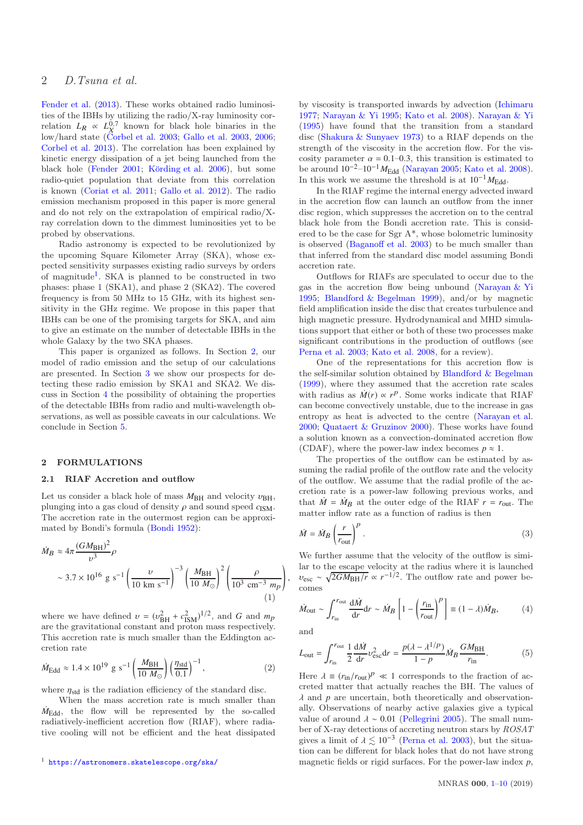# 2 D.Tsuna et al.

[Fender et al.](#page-8-7) [\(2013](#page-8-7)). These works obtained radio luminosities of the IBHs by utilizing the radio/X-ray luminosity correlation  $L_R \propto L_X^{0.7}$  known for black hole binaries in the low/hard state [\(Corbel et al. 2003](#page-8-23); [Gallo et al. 2003](#page-8-24), [2006;](#page-8-25) [Corbel et al. 2013](#page-8-26)). The correlation has been explained by kinetic energy dissipation of a jet being launched from the black hole [\(Fender 2001;](#page-8-27) Körding et al. 2006), but some radio-quiet population that deviate from this correlation is known [\(Coriat et al. 2011](#page-8-29); [Gallo et al. 2012](#page-8-30)). The radio emission mechanism proposed in this paper is more general and do not rely on the extrapolation of empirical radio/Xray correlation down to the dimmest luminosities yet to be probed by observations.

Radio astronomy is expected to be revolutionized by the upcoming Square Kilometer Array (SKA), whose expected sensitivity surpasses existing radio surveys by orders of magnitude<sup>[1](#page-1-0)</sup>. SKA is planned to be constructed in two phases: phase 1 (SKA1), and phase 2 (SKA2). The covered frequency is from 50 MHz to 15 GHz, with its highest sensitivity in the GHz regime. We propose in this paper that IBHs can be one of the promising targets for SKA, and aim to give an estimate on the number of detectable IBHs in the whole Galaxy by the two SKA phases.

This paper is organized as follows. In Section [2,](#page-1-1) our model of radio emission and the setup of our calculations are presented. In Section [3](#page-4-0) we show our prospects for detecting these radio emission by SKA1 and SKA2. We discuss in Section [4](#page-6-0) the possibility of obtaining the properties of the detectable IBHs from radio and multi-wavelength observations, as well as possible caveats in our calculations. We conclude in Section [5.](#page-8-0)

## <span id="page-1-1"></span>2 FORMULATIONS

## 2.1 RIAF Accretion and outflow

Let us consider a black hole of mass  $M_{\rm BH}$  and velocity  $v_{\rm BH}$ , plunging into a gas cloud of density  $\rho$  and sound speed  $c_{\text{ISM}}$ . The accretion rate in the outermost region can be approximated by Bondi's formula [\(Bondi 1952\)](#page-8-31):

$$
\dot{M}_B \approx 4\pi \frac{(GM_{\text{BH}})^2}{v^3} \rho
$$
  
  $\sim 3.7 \times 10^{16} \text{ g s}^{-1} \left(\frac{v}{10 \text{ km s}^{-1}}\right)^{-3} \left(\frac{M_{\text{BH}}}{10 M_{\odot}}\right)^2 \left(\frac{\rho}{10^3 \text{ cm}^{-3} m_p}\right)$  (1)

where we have defined  $v = (v_{BH}^2 + c_{ISM}^2)^{1/2}$ , and *G* and  $m_p$ are the gravitational constant and proton mass respectively. This accretion rate is much smaller than the Eddington accretion rate

$$
\dot{M}_{\rm Edd} \approx 1.4 \times 10^{19} \, \text{g s}^{-1} \left( \frac{M_{\rm BH}}{10 \, M_{\odot}} \right) \left( \frac{\eta_{\rm std}}{0.1} \right)^{-1},\tag{2}
$$

where  $\eta_{\text{std}}$  is the radiation efficiency of the standard disc.

When the mass accretion rate is much smaller than  $\dot{M}_{\text{Edd}}$ , the flow will be represented by the so-called radiatively-inefficient accretion flow (RIAF), where radiative cooling will not be efficient and the heat dissipated

by viscosity is transported inwards by advection [\(Ichimaru](#page-8-20) [1977](#page-8-20); [Narayan & Yi 1995](#page-8-21); [Kato et al. 2008](#page-8-32)). [Narayan & Yi](#page-8-21) [\(1995](#page-8-21)) have found that the transition from a standard disc [\(Shakura & Sunyaev 1973](#page-9-10)) to a RIAF depends on the strength of the viscosity in the accretion flow. For the viscosity parameter  $\alpha = 0.1{\text{-}}0.3$ , this transition is estimated to be around  $10^{-2}-10^{-1}M_{\text{Edd}}$  [\(Narayan 2005](#page-8-33); [Kato et al. 2008](#page-8-32)). In this work we assume the threshold is at  $10^{-1} M_{\rm Edd}$ .

In the RIAF regime the internal energy advected inward in the accretion flow can launch an outflow from the inner disc region, which suppresses the accretion on to the central black hole from the Bondi accretion rate. This is considered to be the case for Sgr A\*, whose bolometric luminosity is observed [\(Baganoff et al. 2003](#page-8-34)) to be much smaller than that inferred from the standard disc model assuming Bondi accretion rate.

Outflows for RIAFs are speculated to occur due to the gas in the accretion flow being unbound [\(Narayan & Yi](#page-8-21) [1995](#page-8-21); [Blandford & Begelman 1999\)](#page-8-22), and/or by magnetic field amplification inside the disc that creates turbulence and high magnetic pressure. Hydrodynamical and MHD simulations support that either or both of these two processes make significant contributions in the production of outflows (see [Perna et al. 2003](#page-9-11); [Kato et al. 2008](#page-8-32), for a review).

One of the representations for this accretion flow is the self-similar solution obtained by [Blandford & Begelman](#page-8-22) [\(1999](#page-8-22)), where they assumed that the accretion rate scales with radius as  $\dot{M}(r) \propto r^p$ . Some works indicate that RIAF can become convectively unstable, due to the increase in gas entropy as heat is advected to the centre [\(Narayan et al.](#page-9-8) [2000](#page-9-8); [Quataert & Gruzinov 2000](#page-9-9)). These works have found a solution known as a convection-dominated accretion flow (CDAF), where the power-law index becomes  $p \approx 1$ .

The properties of the outflow can be estimated by assuming the radial profile of the outflow rate and the velocity of the outflow. We assume that the radial profile of the accretion rate is a power-law following previous works, and that  $\dot{M} = \dot{M}_B$  at the outer edge of the RIAF  $r = r_{\text{out}}$ . The matter inflow rate as a function of radius is then

$$
\dot{M} = \dot{M}_B \left(\frac{r}{r_{\text{out}}}\right)^p.
$$
\n(3)

We further assume that the velocity of the outflow is similar to the escape velocity at the radius where it is launched  $v_{\text{esc}} \sim \sqrt{2GM_{\text{BH}}/r} \propto r^{-1/2}$ . The outflow rate and power becomes

$$
\dot{M}_{\text{out}} \sim \int_{r_{\text{in}}}^{r_{\text{out}}} \frac{\mathrm{d}\dot{M}}{\mathrm{d}r} \mathrm{d}r \sim \dot{M}_B \left[ 1 - \left(\frac{r_{\text{in}}}{r_{\text{out}}}\right)^p \right] \equiv (1 - \lambda)\dot{M}_B, \tag{4}
$$

and

,

$$
L_{\text{out}} = \int_{r_{\text{in}}}^{r_{\text{out}}} \frac{1}{2} \frac{d\dot{M}}{dr} v_{\text{esc}}^2 dr = \frac{p(\lambda - \lambda^{1/p})}{1 - p} \dot{M}_B \frac{GM_{\text{BH}}}{r_{\text{in}}}.
$$
 (5)

Here  $\lambda \equiv (r_{\rm in}/r_{\rm out})^p \ll 1$  corresponds to the fraction of accreted matter that actually reaches the BH. The values of  $\lambda$  and  $p$  are uncertain, both theoretically and observationally. Observations of nearby active galaxies give a typical value of around  $\lambda \sim 0.01$  [\(Pellegrini 2005](#page-9-12)). The small number of X-ray detections of accreting neutron stars by ROSAT gives a limit of  $\lambda \lesssim 10^{-3}$  [\(Perna et al. 2003](#page-9-11)), but the situation can be different for black holes that do not have strong magnetic fields or rigid surfaces. For the power-law index *p*,

<span id="page-1-0"></span><sup>1</sup> <https://astronomers.skatelescope.org/ska/>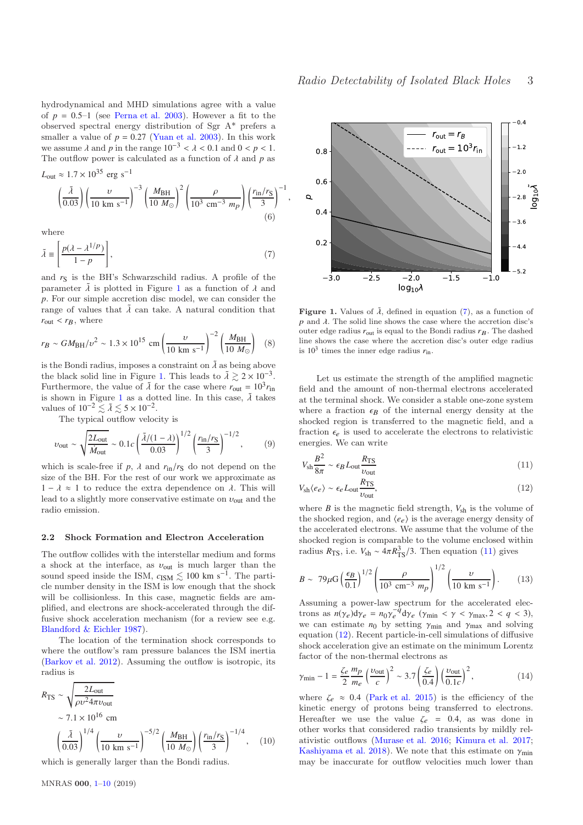hydrodynamical and MHD simulations agree with a value of  $p = 0.5-1$  (see [Perna et al. 2003](#page-9-11)). However a fit to the observed spectral energy distribution of Sgr A\* prefers a smaller a value of  $p = 0.27$  [\(Yuan et al. 2003](#page-9-13)). In this work we assume  $\lambda$  and  $p$  in the range  $10^{-3} < \lambda < 0.1$  and  $0 < p < 1$ . The outflow power is calculated as a function of  $\lambda$  and  $p$  as  $L_{\text{out}} \approx 1.7 \times 10^{35} \text{ erg s}^{-1}$ 

$$
\left(\frac{\tilde{\lambda}}{0.03}\right) \left(\frac{\nu}{10 \text{ km s}^{-1}}\right)^{-3} \left(\frac{M_{\text{BH}}}{10 M_{\odot}}\right)^{2} \left(\frac{\rho}{10^{3} \text{ cm}^{-3} m_{p}}\right) \left(\frac{r_{\text{in}}/r_{\text{S}}}{3}\right)
$$
\n(6)

<span id="page-2-1"></span>−<sup>1</sup>

where

$$
\tilde{\lambda} \equiv \left[ \frac{p(\lambda - \lambda^{1/p})}{1 - p} \right],\tag{7}
$$

and  $r<sub>S</sub>$  is the BH's Schwarzschild radius. A profile of the parameter  $\tilde{\lambda}$  is plotted in Figure [1](#page-2-0) as a function of  $\lambda$  and *p*. For our simple accretion disc model, we can consider the range of values that  $\tilde{\lambda}$  can take. A natural condition that  $r_{\text{out}} < r_B$ , where

$$
r_B \sim GM_{\rm BH}/v^2 \sim 1.3 \times 10^{15} \text{ cm} \left(\frac{v}{10 \text{ km s}^{-1}}\right)^{-2} \left(\frac{M_{\rm BH}}{10 M_{\odot}}\right)
$$
 (8)

is the Bondi radius, imposes a constraint on  $\tilde{\lambda}$  as being above the black solid line in Figure [1.](#page-2-0) This leads to  $\lambda \gtrsim 2 \times 10^{-3}$ . Furthermore, the value of  $\tilde{\lambda}$  for the case where  $r_{\text{out}} = 10^3 r_{\text{in}}$ is shown in Figure [1](#page-2-0) as a dotted line. In this case,  $\tilde{\lambda}$  takes values of  $10^{-2} \lesssim \tilde{\lambda} \lesssim 5 \times 10^{-2}$ .

The typical outflow velocity is

$$
v_{\text{out}} \sim \sqrt{\frac{2L_{\text{out}}}{\dot{M}_{\text{out}}}} \sim 0.1c \left(\frac{\tilde{\lambda}/(1-\lambda)}{0.03}\right)^{1/2} \left(\frac{r_{\text{in}}/r_{\text{S}}}{3}\right)^{-1/2},
$$
 (9)

which is scale-free if  $p$ ,  $\lambda$  and  $r_{\text{in}}/r_{\text{S}}$  do not depend on the size of the BH. For the rest of our work we approximate as 1 −  $\lambda \approx 1$  to reduce the extra dependence on  $\lambda$ . This will lead to a slightly more conservative estimate on  $v_{\text{out}}$  and the radio emission.

#### 2.2 Shock Formation and Electron Acceleration

The outflow collides with the interstellar medium and forms a shock at the interface, as  $v_{\text{out}}$  is much larger than the sound speed inside the ISM,  $c_{\text{ISM}} \lesssim 100 \text{ km s}^{-1}$ . The particle number density in the ISM is low enough that the shock will be collisionless. In this case, magnetic fields are amplified, and electrons are shock-accelerated through the diffusive shock acceleration mechanism (for a review see e.g. [Blandford & Eichler 1987\)](#page-8-35).

The location of the termination shock corresponds to where the outflow's ram pressure balances the ISM inertia [\(Barkov et al. 2012\)](#page-8-15). Assuming the outflow is isotropic, its radius is

$$
R_{\rm TS} \sim \sqrt{\frac{2L_{\rm out}}{\rho v^2 4\pi v_{\rm out}}} \sim 7.1 \times 10^{16} \text{ cm} \left(\frac{\tilde{\lambda}}{0.03}\right)^{1/4} \left(\frac{v}{10 \text{ km s}^{-1}}\right)^{-5/2} \left(\frac{M_{\rm BH}}{10 M_{\odot}}\right) \left(\frac{r_{\rm in}/r_{\rm S}}{3}\right)^{-1/4}, \quad (10)
$$

which is generally larger than the Bondi radius.



<span id="page-2-0"></span>**Figure 1.** Values of  $\tilde{\lambda}$ , defined in equation [\(7\)](#page-2-1), as a function of  $p$  and  $\lambda$ . The solid line shows the case where the accretion disc's outer edge radius  $r_{\text{out}}$  is equal to the Bondi radius  $r_B$ . The dashed line shows the case where the accretion disc's outer edge radius is  $10^3$  times the inner edge radius  $r_{\text{in}}$ .

Let us estimate the strength of the amplified magnetic field and the amount of non-thermal electrons accelerated at the terminal shock. We consider a stable one-zone system where a fraction  $\epsilon_B$  of the internal energy density at the shocked region is transferred to the magnetic field, and a fraction  $\epsilon_e$  is used to accelerate the electrons to relativistic energies. We can write

<span id="page-2-3"></span><span id="page-2-2"></span>
$$
V_{\rm sh} \frac{B^2}{8\pi} \sim \epsilon_B L_{\rm out} \frac{R_{\rm TS}}{\nu_{\rm out}} \tag{11}
$$

$$
V_{\rm sh}\langle e_e \rangle \sim \epsilon_e L_{\rm out} \frac{R_{\rm TS}}{v_{\rm out}},\tag{12}
$$

where  $B$  is the magnetic field strength,  $V_{\text{sh}}$  is the volume of the shocked region, and  $\langle e_e \rangle$  is the average energy density of the accelerated electrons. We assume that the volume of the shocked region is comparable to the volume enclosed within radius  $R_{\text{TS}}$ , i.e.  $V_{\text{sh}} \sim 4\pi R_{\text{TS}}^3/3$ . Then equation [\(11\)](#page-2-2) gives

<span id="page-2-4"></span>
$$
B \sim 79 \mu \text{G} \left(\frac{\epsilon_B}{0.1}\right)^{1/2} \left(\frac{\rho}{10^3 \text{ cm}^{-3} \text{ m}_p}\right)^{1/2} \left(\frac{v}{10 \text{ km s}^{-1}}\right). \tag{13}
$$

Assuming a power-law spectrum for the accelerated electrons as  $n(\gamma_e) d\gamma_e = n_0 \gamma_e^{-q} d\gamma_e$  ( $\gamma_{\text{min}} < \gamma < \gamma_{\text{max}}$ , 2 < *q* < 3), we can estimate  $n_0$  by setting  $\gamma_{\text{min}}$  and  $\gamma_{\text{max}}$  and solving equation [\(12\)](#page-2-3). Recent particle-in-cell simulations of diffusive shock acceleration give an estimate on the minimum Lorentz factor of the non-thermal electrons as

$$
\gamma_{\min} - 1 = \frac{\zeta_e}{2} \frac{m_p}{m_e} \left(\frac{\nu_{\text{out}}}{c}\right)^2 \sim 3.7 \left(\frac{\zeta_e}{0.4}\right) \left(\frac{\nu_{\text{out}}}{0.1c}\right)^2,\tag{14}
$$

where  $\zeta_e \approx 0.4$  [\(Park et al. 2015](#page-9-14)) is the efficiency of the kinetic energy of protons being transferred to electrons. Hereafter we use the value  $\zeta_e = 0.4$ , as was done in other works that considered radio transients by mildly relativistic outflows [\(Murase et al. 2016](#page-8-36); [Kimura et al. 2017;](#page-8-37) [Kashiyama et al. 2018](#page-8-38)). We note that this estimate on  $\gamma_{\min}$ may be inaccurate for outflow velocities much lower than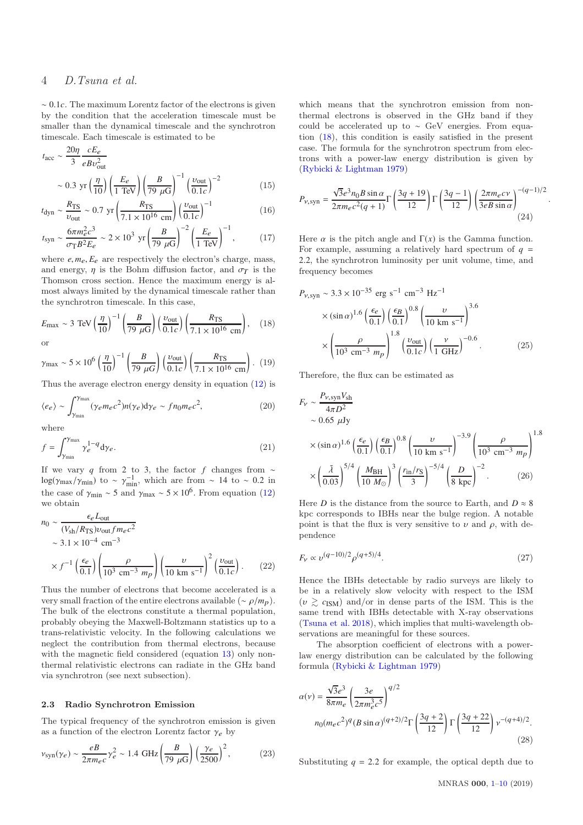# 4 D.Tsuna et al.

∼ 0.1*c*. The maximum Lorentz factor of the electrons is given by the condition that the acceleration timescale must be smaller than the dynamical timescale and the synchrotron timescale. Each timescale is estimated to be

$$
t_{\text{acc}} \sim \frac{20\eta}{3} \frac{cE_e}{eBv_{\text{out}}^2}
$$
  
~ 0.3 yr  $\left(\frac{\eta}{10}\right) \left(\frac{E_e}{1 \text{ TeV}}\right) \left(\frac{B}{79 \mu\text{G}}\right)^{-1} \left(\frac{v_{\text{out}}}{0.1c}\right)^{-2}$  (15)

$$
t_{\rm dyn} \sim \frac{R_{\rm TS}}{v_{\rm out}} \sim 0.7 \text{ yr} \left( \frac{R_{\rm TS}}{7.1 \times 10^{16} \text{ cm}} \right) \left( \frac{v_{\rm out}}{0.1c} \right)^{-1}
$$
 (16)

$$
t_{\rm syn} \sim \frac{6\pi m_e^2 c^3}{\sigma_{\rm T} B^2 E_e} \sim 2 \times 10^3 \text{ yr} \left(\frac{B}{79 \ \mu\text{G}}\right)^{-2} \left(\frac{E_e}{1 \text{ TeV}}\right)^{-1},\tag{17}
$$

where  $e, m_e, E_e$  are respectively the electron's charge, mass, and energy,  $\eta$  is the Bohm diffusion factor, and  $\sigma_T$  is the Thomson cross section. Hence the maximum energy is almost always limited by the dynamical timescale rather than the synchrotron timescale. In this case,

$$
E_{\text{max}} \sim 3 \text{ TeV} \left(\frac{\eta}{10}\right)^{-1} \left(\frac{B}{79 \mu \text{G}}\right) \left(\frac{v_{\text{out}}}{0.1c}\right) \left(\frac{R_{\text{TS}}}{7.1 \times 10^{16} \text{ cm}}\right), \quad (18)
$$
 or

$$
\gamma_{\text{max}} \sim 5 \times 10^6 \left(\frac{\eta}{10}\right)^{-1} \left(\frac{B}{79 \ \mu G}\right) \left(\frac{v_{\text{out}}}{0.1c}\right) \left(\frac{R_{\text{TS}}}{7.1 \times 10^{16} \text{ cm}}\right). \tag{19}
$$

Thus the average electron energy density in equation [\(12\)](#page-2-3) is

$$
\langle e_e \rangle \sim \int_{\gamma_{\rm min}}^{\gamma_{\rm max}} (\gamma_e m_e c^2) n(\gamma_e) \mathrm{d}\gamma_e \sim f n_0 m_e c^2,\tag{20}
$$

where

$$
f = \int_{\gamma_{\min}}^{\gamma_{\max}} \gamma_e^{1-q} \, \mathrm{d}\gamma_e \,. \tag{21}
$$

If we vary *q* from 2 to 3, the factor *f* changes from ∼  $log(\gamma_{max}/\gamma_{min})$  to ~  $\gamma_{min}^{-1}$ , which are from ~ 14 to ~ 0.2 in the case of  $\gamma_{\text{min}} \sim 5$  and  $\gamma_{\text{max}} \sim 5 \times 10^6$ . From equation [\(12\)](#page-2-3) we obtain

$$
n_0 \sim \frac{\epsilon_e L_{\text{out}}}{(V_{\text{sh}}/R_{\text{TS}})\nu_{\text{out}} f m_e c^2}
$$
  
~ 
$$
\sim 3.1 \times 10^{-4} \text{ cm}^{-3}
$$
  
~ 
$$
\times f^{-1} \left(\frac{\epsilon_e}{0.1}\right) \left(\frac{\rho}{10^3 \text{ cm}^{-3} m_p}\right) \left(\frac{\nu}{10 \text{ km s}^{-1}}\right)^2 \left(\frac{\nu_{\text{out}}}{0.1c}\right). \tag{22}
$$

Thus the number of electrons that become accelerated is a very small fraction of the entire electrons available ( $\sim \rho/m_p$ ). The bulk of the electrons constitute a thermal population, probably obeying the Maxwell-Boltzmann statistics up to a trans-relativistic velocity. In the following calculations we neglect the contribution from thermal electrons, because with the magnetic field considered (equation [13\)](#page-2-4) only nonthermal relativistic electrons can radiate in the GHz band via synchrotron (see next subsection).

#### 2.3 Radio Synchrotron Emission

The typical frequency of the synchrotron emission is given as a function of the electron Lorentz factor  $\gamma_e$  by

$$
v_{\rm syn}(\gamma_e) \sim \frac{eB}{2\pi m_e c} \gamma_e^2 \sim 1.4 \text{ GHz} \left(\frac{B}{79 \ \mu\text{G}}\right) \left(\frac{\gamma_e}{2500}\right)^2,\tag{23}
$$

which means that the synchrotron emission from nonthermal electrons is observed in the GHz band if they could be accelerated up to ∼ GeV energies. From equation [\(18\)](#page-3-0), this condition is easily satisfied in the present case. The formula for the synchrotron spectrum from electrons with a power-law energy distribution is given by [\(Rybicki & Lightman 1979\)](#page-9-15)

$$
P_{\nu, \text{syn}} = \frac{\sqrt{3}e^3 n_0 B \sin \alpha}{2\pi m_e c^2 (q+1)} \Gamma\left(\frac{3q+19}{12}\right) \Gamma\left(\frac{3q-1}{12}\right) \left(\frac{2\pi m_e c \nu}{3eB \sin \alpha}\right)^{-(q-1)/2} (24)
$$

<span id="page-3-1"></span>.

Here  $\alpha$  is the pitch angle and  $\Gamma(x)$  is the Gamma function. For example, assuming a relatively hard spectrum of  $q =$ 2.2, the synchrotron luminosity per unit volume, time, and frequency becomes

<span id="page-3-0"></span>
$$
P_{\nu, \text{syn}} \sim 3.3 \times 10^{-35} \text{ erg s}^{-1} \text{ cm}^{-3} \text{ Hz}^{-1}
$$
  
 
$$
\times (\sin \alpha)^{1.6} \left(\frac{\epsilon_e}{0.1}\right) \left(\frac{\epsilon_B}{0.1}\right)^{0.8} \left(\frac{\nu}{10 \text{ km s}^{-1}}\right)^{3.6}
$$
  
 
$$
\times \left(\frac{\rho}{10^3 \text{ cm}^{-3} \text{ m}_p}\right)^{1.8} \left(\frac{\nu_{\text{out}}}{0.1c}\right) \left(\frac{\nu}{1 \text{ GHz}}\right)^{-0.6}.
$$
 (25)

Therefore, the flux can be estimated as

$$
F_{\nu} \sim \frac{P_{\nu, \text{syn}} V_{\text{sh}}}{4\pi D^2}
$$
  
~0.65  $\mu$ Jy  
~(sin  $\alpha$ )<sup>1.6</sup>  $\left(\frac{\epsilon_{\rho}}{0.1}\right) \left(\frac{\epsilon_{B}}{0.1}\right)^{0.8} \left(\frac{\nu}{10 \text{ km s}^{-1}}\right)^{-3.9} \left(\frac{\rho}{10^3 \text{ cm}^{-3} m_p}\right)^{1.8}$   
 $\times \left(\frac{\tilde{\lambda}}{0.03}\right)^{5/4} \left(\frac{M_{\text{BH}}}{10 M_{\odot}}\right)^3 \left(\frac{r_{\text{in}}/r_{\text{S}}}{3}\right)^{-5/4} \left(\frac{D}{8 \text{ kpc}}\right)^{-2}$ . (26)

Here *D* is the distance from the source to Earth, and  $D \approx 8$ kpc corresponds to IBHs near the bulge region. A notable point is that the flux is very sensitive to  $\nu$  and  $\rho$ , with dependence

$$
F_{\nu} \propto \nu^{(q-10)/2} \rho^{(q+5)/4}.
$$
 (27)

Hence the IBHs detectable by radio surveys are likely to be in a relatively slow velocity with respect to the ISM  $(v \geq c_{\text{ISM}})$  and/or in dense parts of the ISM. This is the same trend with IBHs detectable with X-ray observations [\(Tsuna et al. 2018\)](#page-9-7), which implies that multi-wavelength observations are meaningful for these sources.

The absorption coefficient of electrons with a powerlaw energy distribution can be calculated by the following formula [\(Rybicki & Lightman 1979](#page-9-15))

$$
\alpha(\nu) = \frac{\sqrt{3}e^3}{8\pi m_e} \left(\frac{3e}{2\pi m_e^3 c^5}\right)^{q/2}
$$
  

$$
n_0(m_e c^2)^q (B \sin \alpha)^{(q+2)/2} \Gamma\left(\frac{3q+2}{12}\right) \Gamma\left(\frac{3q+22}{12}\right) \nu^{-(q+4)/2}.
$$
  
(28)

Substituting  $q = 2.2$  for example, the optical depth due to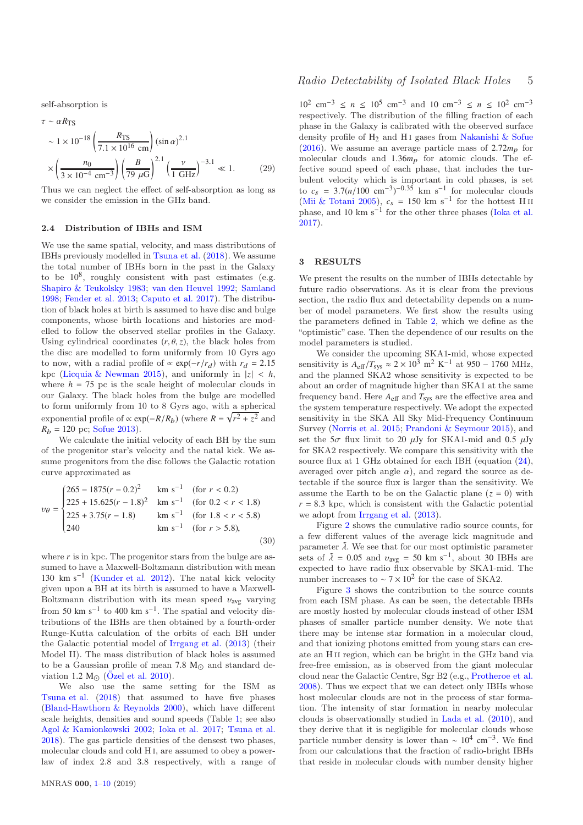self-absorption is

$$
\tau \sim \alpha R_{\text{TS}} \sim 1 \times 10^{-18} \left( \frac{R_{\text{TS}}}{7.1 \times 10^{16} \text{ cm}} \right) (\sin \alpha)^{2.1} \times \left( \frac{n_0}{3 \times 10^{-4} \text{ cm}^{-3}} \right) \left( \frac{B}{79 \ \mu\text{G}} \right)^{2.1} \left( \frac{\nu}{1 \text{ GHz}} \right)^{-3.1} \ll 1. \tag{29}
$$

Thus we can neglect the effect of self-absorption as long as we consider the emission in the GHz band.

#### 2.4 Distribution of IBHs and ISM

We use the same spatial, velocity, and mass distributions of IBHs previously modelled in [Tsuna et al.](#page-9-7) [\(2018](#page-9-7)). We assume the total number of IBHs born in the past in the Galaxy to be  $10^8$ , roughly consistent with past estimates (e.g. [Shapiro & Teukolsky 1983;](#page-9-2) [van den Heuvel 1992;](#page-9-3) [Samland](#page-9-4) [1998](#page-9-4); [Fender et al. 2013](#page-8-7); [Caputo et al. 2017\)](#page-8-6). The distribution of black holes at birth is assumed to have disc and bulge components, whose birth locations and histories are modelled to follow the observed stellar profiles in the Galaxy. Using cylindrical coordinates  $(r, \theta, z)$ , the black holes from the disc are modelled to form uniformly from 10 Gyrs ago to now, with a radial profile of  $\propto \exp(-r/r_d)$  with  $r_d = 2.15$ kpc [\(Licquia & Newman 2015\)](#page-8-39), and uniformly in  $|z| < h$ , where  $h = 75$  pc is the scale height of molecular clouds in our Galaxy. The black holes from the bulge are modelled to form uniformly from 10 to 8 Gyrs ago, with a spherical exponential profile of  $\propto \exp(-R/R_b)$  (where  $R = \sqrt{r^2 + z^2}$  and  $R_b = 120$  pc; [Sofue 2013](#page-9-16)).

We calculate the initial velocity of each BH by the sum of the progenitor star's velocity and the natal kick. We assume progenitors from the disc follows the Galactic rotation curve approximated as

$$
v_{\theta} = \begin{cases} 265 - 1875(r - 0.2)^2 & \text{km s}^{-1} & \text{(for } r < 0.2) \\ 225 + 15.625(r - 1.8)^2 & \text{km s}^{-1} & \text{(for } 0.2 < r < 1.8) \\ 225 + 3.75(r - 1.8) & \text{km s}^{-1} & \text{(for } 1.8 < r < 5.8) \\ 240 & \text{km s}^{-1} & \text{(for } r > 5.8), \end{cases} \tag{30}
$$

where  $r$  is in kpc. The progenitor stars from the bulge are assumed to have a Maxwell-Boltzmann distribution with mean 130 km s−<sup>1</sup> [\(Kunder et al. 2012](#page-8-40)). The natal kick velocity given upon a BH at its birth is assumed to have a Maxwell-Boltzmann distribution with its mean speed  $v_{\text{avg}}$  varying from 50 km s<sup>-1</sup> to 400 km s<sup>-1</sup>. The spatial and velocity distributions of the IBHs are then obtained by a fourth-order Runge-Kutta calculation of the orbits of each BH under the Galactic potential model of [Irrgang et al.](#page-8-41) [\(2013\)](#page-8-41) (their Model II). The mass distribution of black holes is assumed to be a Gaussian profile of mean 7.8  $M_{\odot}$  and standard deviation 1.2  $M_{\odot}$  (Özel et al. 2010).

We also use the same setting for the ISM as [Tsuna et al.](#page-9-7) [\(2018](#page-9-7)) that assumed to have five phases [\(Bland-Hawthorn & Reynolds 2000\)](#page-8-42), which have different scale heights, densities and sound speeds (Table [1;](#page-5-0) see also [Agol & Kamionkowski 2002](#page-8-12); [Ioka et al. 2017](#page-8-16); [Tsuna et al.](#page-9-7) [2018](#page-9-7)). The gas particle densities of the densest two phases, molecular clouds and cold H I, are assumed to obey a powerlaw of index 2.8 and 3.8 respectively, with a range of

10<sup>2</sup> cm<sup>-3</sup> ≤ *n* ≤ 10<sup>5</sup> cm<sup>-3</sup> and 10 cm<sup>-3</sup> ≤ *n* ≤ 10<sup>2</sup> cm<sup>-3</sup> respectively. The distribution of the filling fraction of each phase in the Galaxy is calibrated with the observed surface density profile of  $H_2$  and H<sub>I</sub> gases from [Nakanishi & Sofue](#page-8-43) [\(2016](#page-8-43)). We assume an average particle mass of  $2.72m_p$  for molecular clouds and 1.36*m*p for atomic clouds. The effective sound speed of each phase, that includes the turbulent velocity which is important in cold phases, is set to  $c_s = 3.7(n/100 \text{ cm}^{-3})^{-0.35} \text{ km s}^{-1}$  for molecular clouds [\(Mii & Totani 2005](#page-8-14)),  $c_s = 150 \text{ km s}^{-1}$  for the hottest H<sub>II</sub> phase, and 10 km  $s^{-1}$  for the other three phases [\(Ioka et al.](#page-8-16) [2017](#page-8-16)).

#### <span id="page-4-0"></span>3 RESULTS

We present the results on the number of IBHs detectable by future radio observations. As it is clear from the previous section, the radio flux and detectability depends on a number of model parameters. We first show the results using the parameters defined in Table [2,](#page-5-1) which we define as the "optimistic" case. Then the dependence of our results on the model parameters is studied.

We consider the upcoming SKA1-mid, whose expected sensitivity is  $A_{\text{eff}}/T_{\text{sys}} \approx 2 \times 10^3 \text{ m}^2 \text{ K}^{-1}$  at 950 – 1760 MHz, and the planned SKA2 whose sensitivity is expected to be about an order of magnitude higher than SKA1 at the same frequency band. Here *A*eff and *T*sys are the effective area and the system temperature respectively. We adopt the expected sensitivity in the SKA All Sky Mid-Frequency Continuum Survey [\(Norris et al. 2015](#page-9-18); [Prandoni & Seymour 2015](#page-9-19)), and set the  $5\sigma$  flux limit to 20  $\mu$ Jy for SKA1-mid and 0.5  $\mu$ Jy for SKA2 respectively. We compare this sensitivity with the source flux at 1 GHz obtained for each IBH (equation [\(24\)](#page-3-1), averaged over pitch angle  $\alpha$ ), and regard the source as detectable if the source flux is larger than the sensitivity. We assume the Earth to be on the Galactic plane  $(z = 0)$  with  $r = 8.3$  kpc, which is consistent with the Galactic potential we adopt from [Irrgang et al.](#page-8-41) [\(2013](#page-8-41)).

Figure [2](#page-5-2) shows the cumulative radio source counts, for a few different values of the average kick magnitude and parameter  $\tilde{\lambda}$ . We see that for our most optimistic parameter sets of  $\tilde{\lambda} = 0.05$  and  $v_{avg} = 50$  km s<sup>-1</sup>, about 30 IBHs are expected to have radio flux observable by SKA1-mid. The number increases to  $\sim 7 \times 10^2$  for the case of SKA2.

Figure [3](#page-5-3) shows the contribution to the source counts from each ISM phase. As can be seen, the detectable IBHs are mostly hosted by molecular clouds instead of other ISM phases of smaller particle number density. We note that there may be intense star formation in a molecular cloud, and that ionizing photons emitted from young stars can create an H II region, which can be bright in the GHz band via free-free emission, as is observed from the giant molecular cloud near the Galactic Centre, Sgr B2 (e.g., [Protheroe et al.](#page-9-20) [2008](#page-9-20)). Thus we expect that we can detect only IBHs whose host molecular clouds are not in the process of star formation. The intensity of star formation in nearby molecular clouds is observationally studied in [Lada et al.](#page-8-44) [\(2010\)](#page-8-44), and they derive that it is negligible for molecular clouds whose particle number density is lower than  $\sim 10^4$  cm<sup>-3</sup>. We find from our calculations that the fraction of radio-bright IBHs that reside in molecular clouds with number density higher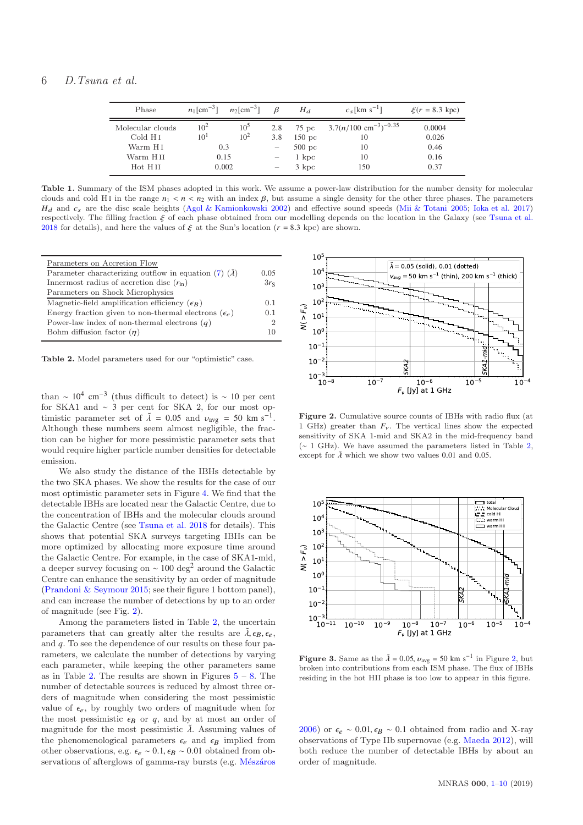$\equiv$ 

| Phase               |          | $n_1$ [cm <sup>-3</sup> ] $n_2$ [cm <sup>-3</sup> ] | $\beta$                  | $H_d$             | $c_s$ [km s <sup>-1</sup> ]                | $\xi(r = 8.3 \text{ kpc})$ |
|---------------------|----------|-----------------------------------------------------|--------------------------|-------------------|--------------------------------------------|----------------------------|
| Molecular clouds    | $10^2$   | 10 <sup>5</sup>                                     | 2.8                      |                   | 75 pc $3.7(n/100 \text{ cm}^{-3})^{-0.35}$ | 0.0004                     |
| Cold H <sub>I</sub> | $10^{1}$ | 10 <sup>2</sup>                                     | 3.8                      | $150~\mathrm{pc}$ | 10                                         | 0.026                      |
| Warm H <sub>I</sub> | 0.3      |                                                     |                          | $500~\mathrm{pc}$ | 10                                         | 0.46                       |
| Warm H II           | 0.15     |                                                     | $\overline{\phantom{m}}$ | $1 \; \text{kpc}$ | 10                                         | 0.16                       |
| Hot HII             | 0.002    |                                                     | $\overline{\phantom{0}}$ | 3 kpc             | 150                                        | 0.37                       |

<span id="page-5-0"></span>Table 1. Summary of the ISM phases adopted in this work. We assume a power-law distribution for the number density for molecular clouds and cold HI in the range  $n_1 < n < n_2$  with an index  $\beta$ , but assume a single density for the other three phases. The parameters  $H_d$  and  $c_s$  are the disc scale heights [\(Agol & Kamionkowski 2002](#page-8-12)) and effective sound speeds [\(Mii & Totani 2005](#page-8-14); [Ioka et al. 2017\)](#page-8-16) respectively. The filling fraction ξ of each phase obtained from our modelling depends on the location in the Galaxy (see [Tsuna et al.](#page-9-7) [2018](#page-9-7) for details), and here the values of  $\xi$  at the Sun's location ( $r = 8.3$  kpc) are shown.

| Parameters on Accretion Flow                                  |        |
|---------------------------------------------------------------|--------|
| Parameter characterizing outflow in equation (7) $(\lambda)$  | 0.05   |
| Innermost radius of accretion disc $(r_{\text{in}})$          | $3r_S$ |
| Parameters on Shock Microphysics                              |        |
| Magnetic-field amplification efficiency $(\epsilon_R)$        | 0.1    |
| Energy fraction given to non-thermal electrons $(\epsilon_e)$ | 0.1    |
| Power-law index of non-thermal electrons $(q)$                | 2      |
| Bohm diffusion factor $(\eta)$                                | 10     |
|                                                               |        |

<span id="page-5-1"></span>Table 2. Model parameters used for our "optimistic" case.

than ∼  $10^4$  cm<sup>-3</sup> (thus difficult to detect) is ~ 10 per cent for SKA1 and ∼ 3 per cent for SKA 2, for our most optimistic parameter set of  $\tilde{\lambda} = 0.05$  and  $v_{avg} = 50$  km s<sup>-1</sup>. Although these numbers seem almost negligible, the fraction can be higher for more pessimistic parameter sets that would require higher particle number densities for detectable emission.

We also study the distance of the IBHs detectable by the two SKA phases. We show the results for the case of our most optimistic parameter sets in Figure [4.](#page-6-1) We find that the detectable IBHs are located near the Galactic Centre, due to the concentration of IBHs and the molecular clouds around the Galactic Centre (see [Tsuna et al. 2018](#page-9-7) for details). This shows that potential SKA surveys targeting IBHs can be more optimized by allocating more exposure time around the Galactic Centre. For example, in the case of SKA1-mid, a deeper survey focusing on  $\sim$  100 deg<sup>2</sup> around the Galactic Centre can enhance the sensitivity by an order of magnitude [\(Prandoni & Seymour 2015](#page-9-19); see their figure 1 bottom panel), and can increase the number of detections by up to an order of magnitude (see Fig. [2\)](#page-5-2).

Among the parameters listed in Table [2,](#page-5-1) the uncertain parameters that can greatly alter the results are  $\tilde{\lambda}, \epsilon_B, \epsilon_e$ , and *q*. To see the dependence of our results on these four parameters, we calculate the number of detections by varying each parameter, while keeping the other parameters same as in Table [2.](#page-5-1) The results are shown in Figures  $5 - 8$  $5 - 8$ . The number of detectable sources is reduced by almost three orders of magnitude when considering the most pessimistic value of  $\epsilon_e$ , by roughly two orders of magnitude when for the most pessimistic  $\epsilon_B$  or  $q$ , and by at most an order of magnitude for the most pessimistic  $\tilde{\lambda}$ . Assuming values of the phenomenological parameters  $\epsilon_e$  and  $\epsilon_B$  implied from other observations, e.g.  $\epsilon_e \sim 0.1$ ,  $\epsilon_B \sim 0.01$  obtained from observations of afterglows of gamma-ray bursts (e.g. Mészáros



<span id="page-5-2"></span>Figure 2. Cumulative source counts of IBHs with radio flux (at 1 GHz) greater than  $F_v$ . The vertical lines show the expected sensitivity of SKA 1-mid and SKA2 in the mid-frequency band (∼ 1 GHz). We have assumed the parameters listed in Table [2,](#page-5-1) except for  $\tilde{\lambda}$  which we show two values 0.01 and 0.05.



<span id="page-5-3"></span>Figure 3. Same as the  $\tilde{\lambda} = 0.05$ ,  $v_{avg} = 50$  km s<sup>-1</sup> in Figure [2,](#page-5-2) but broken into contributions from each ISM phase. The flux of IBHs residing in the hot HII phase is too low to appear in this figure.

[2006](#page-8-45)) or  $\epsilon_e \sim 0.01$ ,  $\epsilon_B \sim 0.1$  obtained from radio and X-ray observations of Type IIb supernovae (e.g. [Maeda 2012](#page-8-46)), will both reduce the number of detectable IBHs by about an order of magnitude.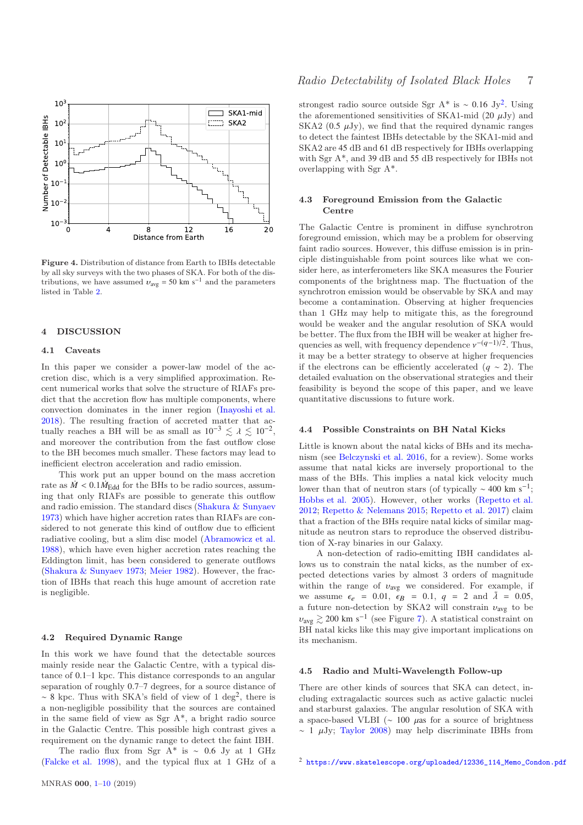

<span id="page-6-1"></span>Figure 4. Distribution of distance from Earth to IBHs detectable by all sky surveys with the two phases of SKA. For both of the distributions, we have assumed  $v_{\text{avg}} = 50 \text{ km s}^{-1}$  and the parameters listed in Table [2.](#page-5-1)

## <span id="page-6-0"></span>4 DISCUSSION

#### 4.1 Caveats

In this paper we consider a power-law model of the accretion disc, which is a very simplified approximation. Recent numerical works that solve the structure of RIAFs predict that the accretion flow has multiple components, where convection dominates in the inner region [\(Inayoshi et al.](#page-8-47) [2018](#page-8-47)). The resulting fraction of accreted matter that actually reaches a BH will be as small as  $10^{-3} \le \lambda \le 10^{-2}$ , and moreover the contribution from the fast outflow close to the BH becomes much smaller. These factors may lead to inefficient electron acceleration and radio emission.

This work put an upper bound on the mass accretion rate as  $\dot{M} < 0.1 \dot{M}_{\text{Edd}}$  for the BHs to be radio sources, assuming that only RIAFs are possible to generate this outflow and radio emission. The standard discs [\(Shakura & Sunyaev](#page-9-10) [1973](#page-9-10)) which have higher accretion rates than RIAFs are considered to not generate this kind of outflow due to efficient radiative cooling, but a slim disc model [\(Abramowicz et al.](#page-8-48) [1988](#page-8-48)), which have even higher accretion rates reaching the Eddington limit, has been considered to generate outflows [\(Shakura & Sunyaev 1973](#page-9-10); [Meier 1982](#page-8-49)). However, the fraction of IBHs that reach this huge amount of accretion rate is negligible.

## 4.2 Required Dynamic Range

In this work we have found that the detectable sources mainly reside near the Galactic Centre, with a typical distance of 0.1–1 kpc. This distance corresponds to an angular separation of roughly 0.7–7 degrees, for a source distance of  $\sim$  8 kpc. Thus with SKA's field of view of 1 deg<sup>2</sup>, there is a non-negligible possibility that the sources are contained in the same field of view as Sgr A\*, a bright radio source in the Galactic Centre. This possible high contrast gives a requirement on the dynamic range to detect the faint IBH.

The radio flux from Sgr A<sup>\*</sup> is ~ 0.6 Jy at 1 GHz [\(Falcke et al. 1998](#page-8-50)), and the typical flux at 1 GHz of a

strongest radio source outside Sgr A<sup>\*</sup> is ~ 0.16 Jy<sup>[2](#page-6-2)</sup>. Using the aforementioned sensitivities of SKA1-mid  $(20 \mu Jv)$  and SKA2 (0.5  $\mu$ Jy), we find that the required dynamic ranges to detect the faintest IBHs detectable by the SKA1-mid and SKA2 are 45 dB and 61 dB respectively for IBHs overlapping with Sgr A<sup>\*</sup>, and 39 dB and 55 dB respectively for IBHs not overlapping with Sgr A\*.

## 4.3 Foreground Emission from the Galactic Centre

The Galactic Centre is prominent in diffuse synchrotron foreground emission, which may be a problem for observing faint radio sources. However, this diffuse emission is in principle distinguishable from point sources like what we consider here, as interferometers like SKA measures the Fourier components of the brightness map. The fluctuation of the synchrotron emission would be observable by SKA and may become a contamination. Observing at higher frequencies than 1 GHz may help to mitigate this, as the foreground would be weaker and the angular resolution of SKA would be better. The flux from the IBH will be weaker at higher frequencies as well, with frequency dependence  $v^{-(q-1)/2}$ . Thus, it may be a better strategy to observe at higher frequencies if the electrons can be efficiently accelerated (*q* ∼ 2). The detailed evaluation on the observational strategies and their feasibility is beyond the scope of this paper, and we leave quantitative discussions to future work.

## 4.4 Possible Constraints on BH Natal Kicks

Little is known about the natal kicks of BHs and its mechanism (see [Belczynski et al. 2016](#page-8-51), for a review). Some works assume that natal kicks are inversely proportional to the mass of the BHs. This implies a natal kick velocity much lower than that of neutron stars (of typically  $\sim$  400 km s<sup>-1</sup>; [Hobbs et al. 2005](#page-8-52)). However, other works [\(Repetto et al.](#page-9-21) [2012](#page-9-21); [Repetto & Nelemans 2015](#page-9-22); [Repetto et al. 2017](#page-9-23)) claim that a fraction of the BHs require natal kicks of similar magnitude as neutron stars to reproduce the observed distribution of X-ray binaries in our Galaxy.

A non-detection of radio-emitting IBH candidates allows us to constrain the natal kicks, as the number of expected detections varies by almost 3 orders of magnitude within the range of  $v_{\text{avg}}$  we considered. For example, if we assume  $\epsilon_e = 0.01$ ,  $\epsilon_B = 0.1$ ,  $q = 2$  and  $\lambda = 0.05$ , a future non-detection by SKA2 will constrain  $v_{\text{avg}}$  to be  $v_{\text{avg}} \gtrsim 200 \text{ km s}^{-1}$  (see Figure [7\)](#page-7-2). A statistical constraint on BH natal kicks like this may give important implications on its mechanism.

## 4.5 Radio and Multi-Wavelength Follow-up

There are other kinds of sources that SKA can detect, including extragalactic sources such as active galactic nuclei and starburst galaxies. The angular resolution of SKA with a space-based VLBI ( $\sim$  100  $\mu$ as for a source of brightness  $\sim$  1  $\mu$ Jy; [Taylor 2008\)](#page-9-24) may help discriminate IBHs from

<span id="page-6-2"></span><sup>2</sup> [https://www.skatelescope.org/uploaded/12336\\_114\\_Memo\\_Condon.pdf](https://www.skatelescope.org/uploaded/12336_114_Memo_Condon.pdf)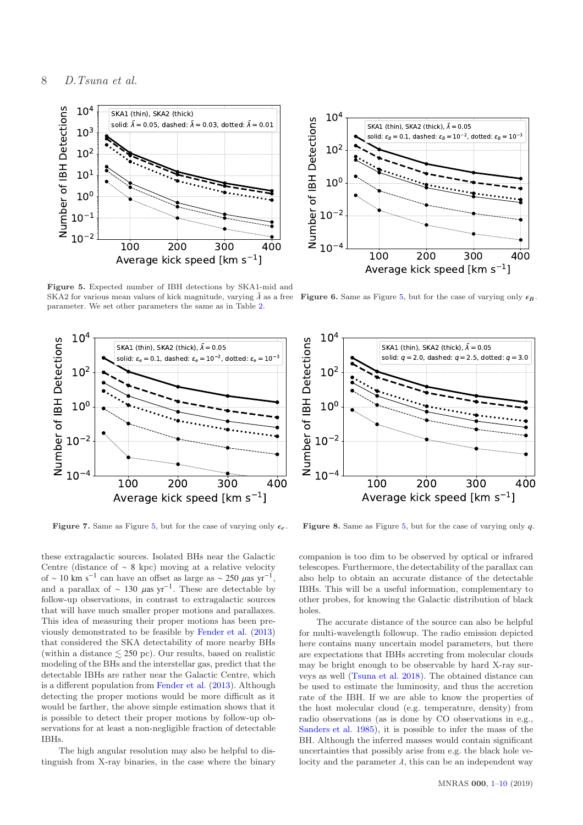

<span id="page-7-0"></span>Figure 5. Expected number of IBH detections by SKA1-mid and SKA2 for various mean values of kick magnitude, varying  $\lambda$  as a free parameter. We set other parameters the same as in Table [2.](#page-5-1)



<span id="page-7-2"></span>Figure 7. Same as Figure [5,](#page-7-0) but for the case of varying only  $\epsilon_e$ .

these extragalactic sources. Isolated BHs near the Galactic Centre (distance of ∼ 8 kpc) moving at a relative velocity of ~ 10 km s<sup>-1</sup> can have an offset as large as ~ 250  $\mu$ as yr<sup>-1</sup>, and a parallax of ~ 130  $\mu$ as yr<sup>-1</sup>. These are detectable by follow-up observations, in contrast to extragalactic sources that will have much smaller proper motions and parallaxes. This idea of measuring their proper motions has been previously demonstrated to be feasible by [Fender et al.](#page-8-7) [\(2013\)](#page-8-7) that considered the SKA detectability of more nearby BHs (within a distance  $\leq 250$  pc). Our results, based on realistic modeling of the BHs and the interstellar gas, predict that the detectable IBHs are rather near the Galactic Centre, which is a different population from [Fender et al.](#page-8-7) [\(2013](#page-8-7)). Although detecting the proper motions would be more difficult as it would be farther, the above simple estimation shows that it is possible to detect their proper motions by follow-up observations for at least a non-negligible fraction of detectable IBHs.

The high angular resolution may also be helpful to distinguish from X-ray binaries, in the case where the binary



**Figure 6.** Same as Figure [5,](#page-7-0) but for the case of varying only  $\epsilon_B$ .



<span id="page-7-1"></span>**Figure 8.** Same as Figure [5,](#page-7-0) but for the case of varying only  $q$ .

companion is too dim to be observed by optical or infrared telescopes. Furthermore, the detectability of the parallax can also help to obtain an accurate distance of the detectable IBHs. This will be a useful information, complementary to other probes, for knowing the Galactic distribution of black holes.

The accurate distance of the source can also be helpful for multi-wavelength followup. The radio emission depicted here contains many uncertain model parameters, but there are expectations that IBHs accreting from molecular clouds may be bright enough to be observable by hard X-ray surveys as well [\(Tsuna et al. 2018\)](#page-9-7). The obtained distance can be used to estimate the luminosity, and thus the accretion rate of the IBH. If we are able to know the properties of the host molecular cloud (e.g. temperature, density) from radio observations (as is done by CO observations in e.g., [Sanders et al. 1985\)](#page-9-25), it is possible to infer the mass of the BH. Although the inferred masses would contain significant uncertainties that possibly arise from e.g. the black hole velocity and the parameter  $\lambda$ , this can be an independent way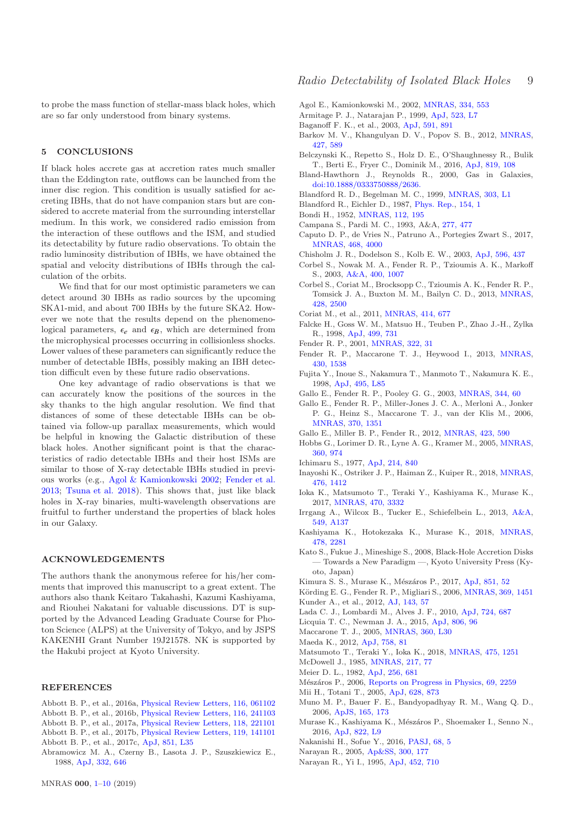to probe the mass function of stellar-mass black holes, which are so far only understood from binary systems.

## <span id="page-8-0"></span>5 CONCLUSIONS

If black holes accrete gas at accretion rates much smaller than the Eddington rate, outflows can be launched from the inner disc region. This condition is usually satisfied for accreting IBHs, that do not have companion stars but are considered to accrete material from the surrounding interstellar medium. In this work, we considered radio emission from the interaction of these outflows and the ISM, and studied its detectability by future radio observations. To obtain the radio luminosity distribution of IBHs, we have obtained the spatial and velocity distributions of IBHs through the calculation of the orbits.

We find that for our most optimistic parameters we can detect around 30 IBHs as radio sources by the upcoming SKA1-mid, and about 700 IBHs by the future SKA2. However we note that the results depend on the phenomenological parameters,  $\epsilon_{\rho}$  and  $\epsilon_{B}$ , which are determined from the microphysical processes occurring in collisionless shocks. Lower values of these parameters can significantly reduce the number of detectable IBHs, possibly making an IBH detection difficult even by these future radio observations.

One key advantage of radio observations is that we can accurately know the positions of the sources in the sky thanks to the high angular resolution. We find that distances of some of these detectable IBHs can be obtained via follow-up parallax measurements, which would be helpful in knowing the Galactic distribution of these black holes. Another significant point is that the characteristics of radio detectable IBHs and their host ISMs are similar to those of X-ray detectable IBHs studied in previous works (e.g., [Agol & Kamionkowski 2002;](#page-8-12) [Fender et al.](#page-8-7) [2013](#page-8-7); [Tsuna et al. 2018](#page-9-7)). This shows that, just like black holes in X-ray binaries, multi-wavelength observations are fruitful to further understand the properties of black holes in our Galaxy.

#### ACKNOWLEDGEMENTS

The authors thank the anonymous referee for his/her comments that improved this manuscript to a great extent. The authors also thank Keitaro Takahashi, Kazumi Kashiyama, and Riouhei Nakatani for valuable discussions. DT is supported by the Advanced Leading Graduate Course for Photon Science (ALPS) at the University of Tokyo, and by JSPS KAKENHI Grant Number 19J21578. NK is supported by the Hakubi project at Kyoto University.

#### REFERENCES

- <span id="page-8-1"></span>Abbott B. P., et al., 2016a, [Physical Review Letters,](http://dx.doi.org/10.1103/PhysRevLett.116.061102) [116, 061102](http://adsabs.harvard.edu/abs/2016PhRvL.116f1102A) Abbott B. P., et al., 2016b, [Physical Review Letters,](http://dx.doi.org/10.1103/PhysRevLett.116.241103) [116, 241103](http://adsabs.harvard.edu/abs/2016PhRvL.116x1103A)
- <span id="page-8-3"></span><span id="page-8-2"></span>Abbott B. P., et al., 2017a, [Physical Review Letters,](http://dx.doi.org/10.1103/PhysRevLett.118.221101) [118, 221101](http://adsabs.harvard.edu/abs/2017PhRvL.118v1101A)
- <span id="page-8-4"></span>Abbott B. P., et al., 2017b, [Physical Review Letters,](http://dx.doi.org/10.1103/PhysRevLett.119.141101) [119, 141101](http://adsabs.harvard.edu/abs/2017PhRvL.119n1101A)
- <span id="page-8-5"></span>Abbott B. P., et al., 2017c, [ApJ,](http://dx.doi.org/10.3847/2041-8213/aa9f0c) [851, L35](http://adsabs.harvard.edu/abs/2017ApJ...851L..35A)
- <span id="page-8-48"></span>Abramowicz M. A., Czerny B., Lasota J. P., Szuszkiewicz E., 1988, [ApJ,](http://dx.doi.org/10.1086/166683) [332, 646](http://adsabs.harvard.edu/abs/1988ApJ...332..646A)

<span id="page-8-12"></span>Agol E., Kamionkowski M., 2002, [MNRAS,](http://dx.doi.org/10.1046/j.1365-8711.2002.05523.x) [334, 553](http://cdsads.u-strasbg.fr/abs/2002MNRAS.334..553A)

- <span id="page-8-11"></span>Armitage P. J., Natarajan P., 1999, [ApJ,](http://dx.doi.org/10.1086/312261) [523, L7](http://adsabs.harvard.edu/abs/1999ApJ...523L...7A)
- <span id="page-8-34"></span>Baganoff F. K., et al., 2003, [ApJ,](http://dx.doi.org/10.1086/375145) [591, 891](http://adsabs.harvard.edu/abs/2003ApJ...591..891B)
- <span id="page-8-15"></span>Barkov M. V., Khangulyan D. V., Popov S. B., 2012, [MNRAS,](http://dx.doi.org/10.1111/j.1365-2966.2012.22029.x) [427, 589](http://adsabs.harvard.edu/abs/2012MNRAS.427..589B)
- <span id="page-8-51"></span>Belczynski K., Repetto S., Holz D. E., O'Shaughnessy R., Bulik T., Berti E., Fryer C., Dominik M., 2016, [ApJ,](http://dx.doi.org/10.3847/0004-637X/819/2/108) [819, 108](http://adsabs.harvard.edu/abs/2016ApJ...819..108B)
- <span id="page-8-42"></span>Bland-Hawthorn J., Reynolds R., 2000, Gas in Galaxies, [doi:10.1888/0333750888/2636.](http://dx.doi.org/10.1888/0333750888/2636. )
- <span id="page-8-22"></span>Blandford R. D., Begelman M. C., 1999, [MNRAS,](http://dx.doi.org/10.1046/j.1365-8711.1999.02358.x) [303, L1](http://cdsads.u-strasbg.fr/abs/1999MNRAS.303L...1B)
- <span id="page-8-35"></span>Blandford R., Eichler D., 1987, [Phys. Rep.,](http://dx.doi.org/10.1016/0370-1573(87)90134-7) [154, 1](http://adsabs.harvard.edu/abs/1987PhR...154....1B)
- <span id="page-8-31"></span>Bondi H., 1952, [MNRAS,](http://dx.doi.org/10.1093/mnras/112.2.195) [112, 195](http://cdsads.u-strasbg.fr/abs/1952MNRAS.112..195B)
- <span id="page-8-9"></span><span id="page-8-6"></span>Campana S., Pardi M. C., 1993, A&A, [277, 477](http://adsabs.harvard.edu/abs/1993A%26A...277..477C) Caputo D. P., de Vries N., Patruno A., Portegies Zwart S., 2017,
- [MNRAS,](http://dx.doi.org/10.1093/mnras/stw3336) [468, 4000](http://adsabs.harvard.edu/abs/2017MNRAS.468.4000C)
- <span id="page-8-23"></span><span id="page-8-18"></span>Chisholm J. R., Dodelson S., Kolb E. W., 2003, [ApJ,](http://dx.doi.org/10.1086/377628) [596, 437](http://cdsads.u-strasbg.fr/abs/2003ApJ...596..437C) Corbel S., Nowak M. A., Fender R. P., Tzioumis A. K., Markoff
- S., 2003, [A&A,](http://dx.doi.org/10.1051/0004-6361:20030090) [400, 1007](http://adsabs.harvard.edu/abs/2003A%26A...400.1007C) Corbel S., Coriat M., Brocksopp C., Tzioumis A. K., Fender R. P.,
- <span id="page-8-26"></span>Tomsick J. A., Buxton M. M., Bailyn C. D., 2013, [MNRAS,](http://dx.doi.org/10.1093/mnras/sts215) [428, 2500](http://adsabs.harvard.edu/abs/2013MNRAS.428.2500C)
- <span id="page-8-29"></span>Coriat M., et al., 2011, [MNRAS,](http://dx.doi.org/10.1111/j.1365-2966.2011.18433.x) [414, 677](http://adsabs.harvard.edu/abs/2011MNRAS.414..677C)
- <span id="page-8-50"></span>Falcke H., Goss W. M., Matsuo H., Teuben P., Zhao J.-H., Zylka R., 1998, [ApJ,](http://dx.doi.org/10.1086/305687) [499, 731](https://ui.adsabs.harvard.edu/abs/1998ApJ...499..731F)
- <span id="page-8-27"></span>Fender R. P., 2001, [MNRAS,](http://dx.doi.org/10.1046/j.1365-8711.2001.04080.x) [322, 31](http://adsabs.harvard.edu/abs/2001MNRAS.322...31F)
- <span id="page-8-7"></span>Fender R. P., Maccarone T. J., Heywood I., 2013, [MNRAS,](http://dx.doi.org/10.1093/mnras/sts688) [430, 1538](http://cdsads.u-strasbg.fr/abs/2013MNRAS.430.1538F)
- <span id="page-8-10"></span>Fujita Y., Inoue S., Nakamura T., Manmoto T., Nakamura K. E., 1998, [ApJ,](http://dx.doi.org/10.1086/311220) [495, L85](http://cdsads.u-strasbg.fr/abs/1998ApJ...495L..85F)
- <span id="page-8-24"></span>Gallo E., Fender R. P., Pooley G. G., 2003, [MNRAS,](http://dx.doi.org/10.1046/j.1365-8711.2003.06791.x) [344, 60](http://adsabs.harvard.edu/abs/2003MNRAS.344...60G)
- <span id="page-8-25"></span>Gallo E., Fender R. P., Miller-Jones J. C. A., Merloni A., Jonker P. G., Heinz S., Maccarone T. J., van der Klis M., 2006, [MNRAS,](http://dx.doi.org/10.1111/j.1365-2966.2006.10560.x) [370, 1351](http://adsabs.harvard.edu/abs/2006MNRAS.370.1351G)
- <span id="page-8-30"></span>Gallo E., Miller B. P., Fender R., 2012, [MNRAS,](http://dx.doi.org/10.1111/j.1365-2966.2012.20899.x) [423, 590](http://adsabs.harvard.edu/abs/2012MNRAS.423..590G)
- <span id="page-8-52"></span>Hobbs G., Lorimer D. R., Lyne A. G., Kramer M., 2005, [MNRAS,](http://dx.doi.org/10.1111/j.1365-2966.2005.09087.x) [360, 974](http://adsabs.harvard.edu/abs/2005MNRAS.360..974H)
- <span id="page-8-20"></span>Ichimaru S., 1977, [ApJ,](http://dx.doi.org/10.1086/155314) [214, 840](http://adsabs.harvard.edu/abs/1977ApJ...214..840I)
- <span id="page-8-47"></span>Inayoshi K., Ostriker J. P., Haiman Z., Kuiper R., 2018, [MNRAS,](http://dx.doi.org/10.1093/mnras/sty276) [476, 1412](http://adsabs.harvard.edu/abs/2018MNRAS.476.1412I)
- <span id="page-8-16"></span>Ioka K., Matsumoto T., Teraki Y., Kashiyama K., Murase K., 2017, [MNRAS,](http://dx.doi.org/10.1093/mnras/stx1337) [470, 3332](http://adsabs.harvard.edu/abs/2017MNRAS.470.3332I)
- <span id="page-8-41"></span>Irrgang A., Wilcox B., Tucker E., Schiefelbein L., 2013, [A&A,](http://dx.doi.org/10.1051/0004-6361/201220540) [549, A137](http://adsabs.harvard.edu/abs/2013A%26A...549A.137I)
- <span id="page-8-38"></span>Kashiyama K., Hotokezaka K., Murase K., 2018, [MNRAS,](http://dx.doi.org/10.1093/mnras/sty1145) [478, 2281](http://adsabs.harvard.edu/abs/2018MNRAS.478.2281K)
- <span id="page-8-32"></span>Kato S., Fukue J., Mineshige S., 2008, Black-Hole Accretion Disks — Towards a New Paradigm —, Kyoto University Press (Kyoto, Japan)
- <span id="page-8-37"></span>Kimura S. S., Murase K., Mészáros P., 2017, [ApJ,](http://dx.doi.org/10.3847/1538-4357/aa989b) [851, 52](http://adsabs.harvard.edu/abs/2017ApJ...851...52K)
- <span id="page-8-28"></span>Körding E. G., Fender R. P., Migliari S., 2006, *MNRAS*, [369, 1451](http://adsabs.harvard.edu/abs/2006MNRAS.369.1451K) Kunder A., et al., 2012, [AJ,](http://dx.doi.org/10.1088/0004-6256/143/3/57) [143, 57](http://adsabs.harvard.edu/abs/2012AJ....143...57K)
- <span id="page-8-40"></span>
- <span id="page-8-44"></span>Lada C. J., Lombardi M., Alves J. F., 2010, [ApJ,](http://dx.doi.org/10.1088/0004-637X/724/1/687) [724, 687](https://ui.adsabs.harvard.edu/abs/2010ApJ...724..687L)
- <span id="page-8-39"></span>Licquia T. C., Newman J. A., 2015, [ApJ,](http://dx.doi.org/10.1088/0004-637X/806/1/96) [806, 96](http://adsabs.harvard.edu/abs/2015ApJ...806...96L)
- <span id="page-8-13"></span>Maccarone T. J., 2005, [MNRAS,](http://dx.doi.org/10.1111/j.1745-3933.2005.00039.x) [360, L30](http://adsabs.harvard.edu/abs/2005MNRAS.360L..30M) Maeda K., 2012, [ApJ,](http://dx.doi.org/10.1088/0004-637X/758/2/81) [758, 81](http://adsabs.harvard.edu/abs/2012ApJ...758...81M)
- <span id="page-8-46"></span>Matsumoto T., Teraki Y., Ioka K., 2018, [MNRAS,](http://dx.doi.org/10.1093/mnras/stx3148) [475, 1251](http://adsabs.harvard.edu/abs/2018MNRAS.475.1251M)
- <span id="page-8-17"></span>McDowell J., 1985, [MNRAS,](http://dx.doi.org/10.1093/mnras/217.1.77) [217, 77](http://adsabs.harvard.edu/abs/1985MNRAS.217...77M)
- <span id="page-8-8"></span>
- <span id="page-8-49"></span>Meier D. L., 1982, [ApJ,](http://dx.doi.org/10.1086/159942) [256, 681](http://adsabs.harvard.edu/abs/1982ApJ...256..681M)
- <span id="page-8-45"></span>Mészáros P., 2006, [Reports on Progress in Physics,](http://dx.doi.org/10.1088/0034-4885/69/8/R01) [69, 2259](http://adsabs.harvard.edu/abs/2006RPPh...69.2259M)
- <span id="page-8-14"></span>Mii H., Totani T., 2005, [ApJ,](http://dx.doi.org/10.1086/430942) [628, 873](http://adsabs.harvard.edu/abs/2005ApJ...628..873M)
- <span id="page-8-19"></span>Muno M. P., Bauer F. E., Bandyopadhyay R. M., Wang Q. D., 2006, [ApJS,](http://dx.doi.org/10.1086/504798) [165, 173](http://cdsads.u-strasbg.fr/abs/2006ApJS..165..173M)
- <span id="page-8-36"></span>Murase K., Kashiyama K., Mészáros P., Shoemaker I., Senno N., 2016, [ApJ,](http://dx.doi.org/10.3847/2041-8205/822/1/L9) [822, L9](http://adsabs.harvard.edu/abs/2016ApJ...822L...9M)
- <span id="page-8-43"></span>Nakanishi H., Sofue Y., 2016, [PASJ,](http://dx.doi.org/10.1093/pasj/psv108) [68, 5](http://cdsads.u-strasbg.fr/abs/2016PASJ...68....5N)
- <span id="page-8-33"></span>Narayan R., 2005, [Ap&SS,](http://dx.doi.org/10.1007/s10509-005-1178-7) [300, 177](https://ui.adsabs.harvard.edu/#abs/2005Ap&SS.300..177N)
- <span id="page-8-21"></span>Narayan R., Yi I., 1995, [ApJ,](http://dx.doi.org/10.1086/176343) [452, 710](http://adsabs.harvard.edu/abs/1995ApJ...452..710N)